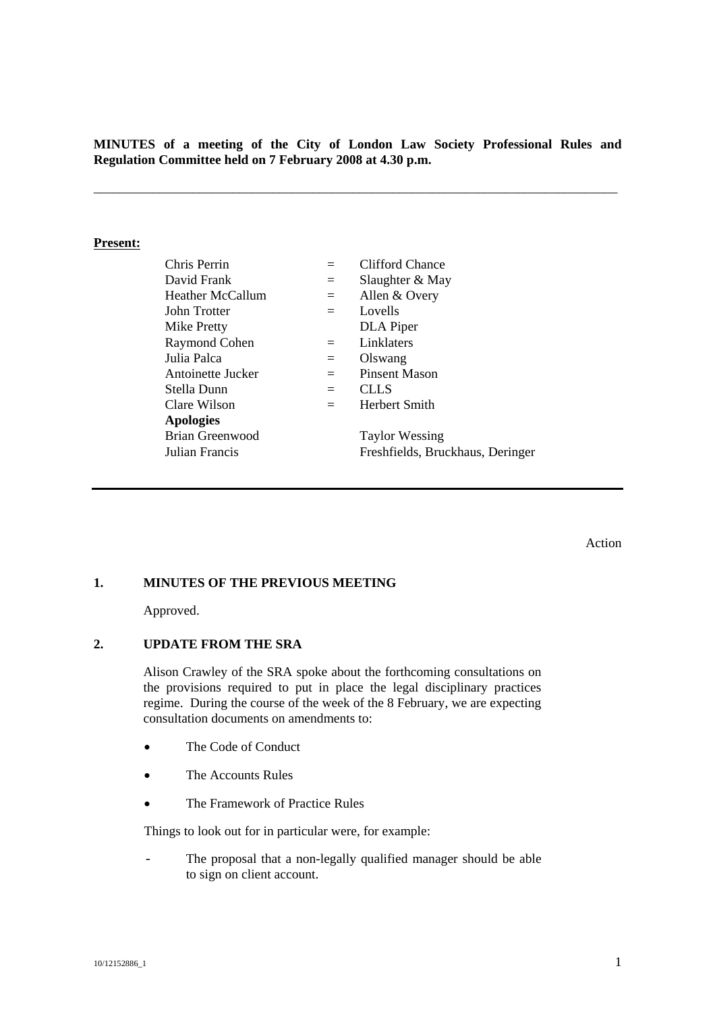**MINUTES of a meeting of the City of London Law Society Professional Rules and Regulation Committee held on 7 February 2008 at 4.30 p.m.** 

\_\_\_\_\_\_\_\_\_\_\_\_\_\_\_\_\_\_\_\_\_\_\_\_\_\_\_\_\_\_\_\_\_\_\_\_\_\_\_\_\_\_\_\_\_\_\_\_\_\_\_\_\_\_\_\_\_\_\_\_\_\_\_\_\_\_\_\_\_\_\_\_\_\_\_\_\_\_\_

#### **Present:**

| Chris Perrin           |     | <b>Clifford Chance</b>           |
|------------------------|-----|----------------------------------|
| David Frank            | $=$ | Slaughter & May                  |
| Heather McCallum       | $=$ | Allen & Overy                    |
| John Trotter           | $=$ | Lovells                          |
| Mike Pretty            |     | DLA Piper                        |
| Raymond Cohen          | $=$ | Linklaters                       |
| Julia Palca            | $=$ | Olswang                          |
| Antoinette Jucker      | $=$ | Pinsent Mason                    |
| Stella Dunn            | $=$ | <b>CLLS</b>                      |
| Clare Wilson           | $=$ | Herbert Smith                    |
| <b>Apologies</b>       |     |                                  |
| <b>Brian Greenwood</b> |     | <b>Taylor Wessing</b>            |
| Julian Francis         |     | Freshfields, Bruckhaus, Deringer |

Action

### **1. MINUTES OF THE PREVIOUS MEETING**

Approved.

## **2. UPDATE FROM THE SRA**

Alison Crawley of the SRA spoke about the forthcoming consultations on the provisions required to put in place the legal disciplinary practices regime. During the course of the week of the 8 February, we are expecting consultation documents on amendments to:

- The Code of Conduct
- The Accounts Rules
- The Framework of Practice Rules

Things to look out for in particular were, for example:

- The proposal that a non-legally qualified manager should be able to sign on client account.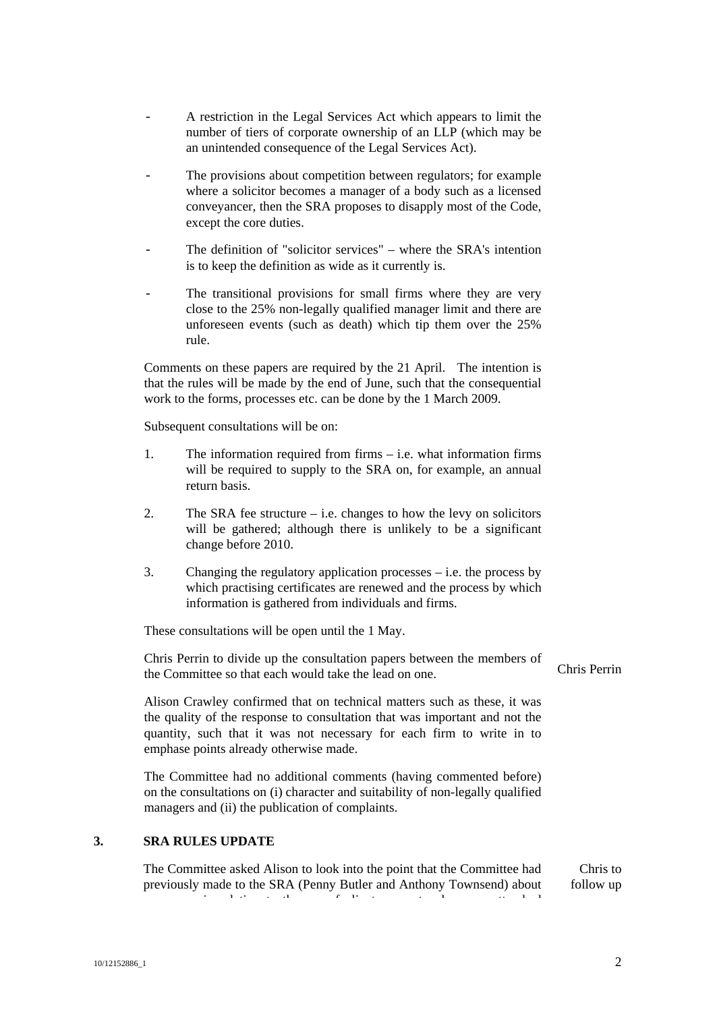- A restriction in the Legal Services Act which appears to limit the number of tiers of corporate ownership of an LLP (which may be an unintended consequence of the Legal Services Act).
- The provisions about competition between regulators; for example where a solicitor becomes a manager of a body such as a licensed conveyancer, then the SRA proposes to disapply most of the Code, except the core duties.
- The definition of "solicitor services" where the SRA's intention is to keep the definition as wide as it currently is.
- The transitional provisions for small firms where they are very close to the 25% non-legally qualified manager limit and there are unforeseen events (such as death) which tip them over the 25% rule.

Comments on these papers are required by the 21 April. The intention is that the rules will be made by the end of June, such that the consequential work to the forms, processes etc. can be done by the 1 March 2009.

Subsequent consultations will be on:

- 1. The information required from firms i.e. what information firms will be required to supply to the SRA on, for example, an annual return basis.
- 2. The SRA fee structure  $-$  i.e. changes to how the levy on solicitors will be gathered; although there is unlikely to be a significant change before 2010.
- 3. Changing the regulatory application processes i.e. the process by which practising certificates are renewed and the process by which information is gathered from individuals and firms.

These consultations will be open until the 1 May.

Chris Perrin to divide up the consultation papers between the members of the Committee so that each would take the lead on one.

Alison Crawley confirmed that on technical matters such as these, it was the quality of the response to consultation that was important and not the quantity, such that it was not necessary for each firm to write in to emphase points already otherwise made.

The Committee had no additional comments (having commented before) on the consultations on (i) character and suitability of non-legally qualified managers and (ii) the publication of complaints.

### **3. SRA RULES UPDATE**

The Committee asked Alison to look into the point that the Committee had previously made to the SRA (Penny Butler and Anthony Townsend) about in the set of the field of the field  $\mathbf{r}_i$ Chris to follow up

Chris Perrin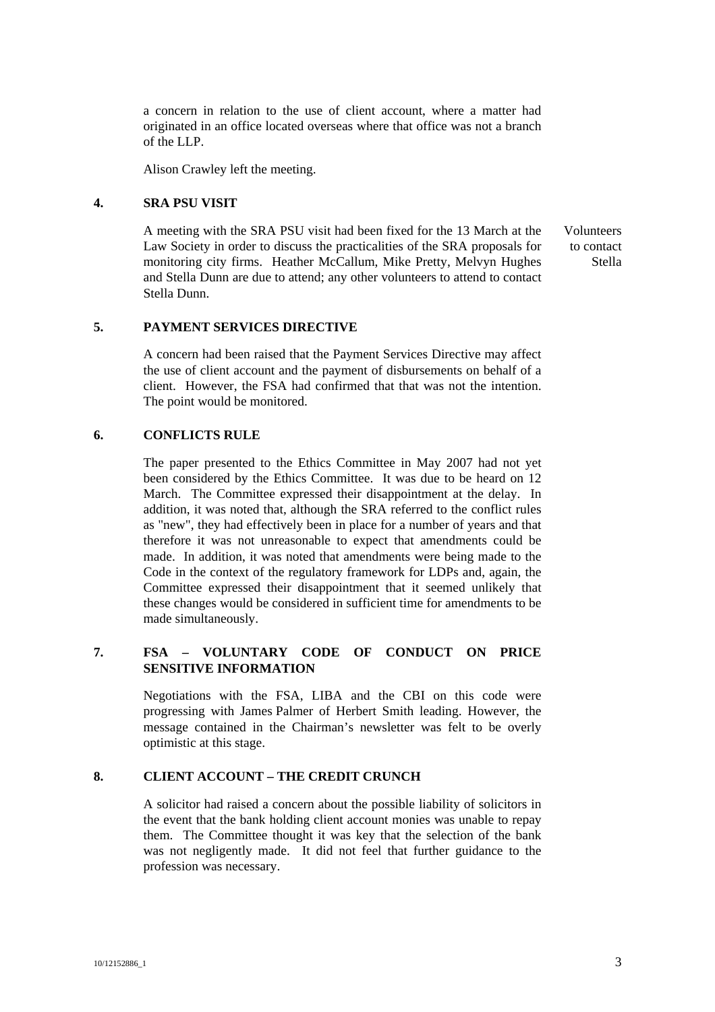a concern in relation to the use of client account, where a matter had originated in an office located overseas where that office was not a branch of the LLP.

Alison Crawley left the meeting.

# **4. SRA PSU VISIT**

A meeting with the SRA PSU visit had been fixed for the 13 March at the Law Society in order to discuss the practicalities of the SRA proposals for monitoring city firms. Heather McCallum, Mike Pretty, Melvyn Hughes and Stella Dunn are due to attend; any other volunteers to attend to contact Stella Dunn.

Volunteers to contact Stella

## **5. PAYMENT SERVICES DIRECTIVE**

A concern had been raised that the Payment Services Directive may affect the use of client account and the payment of disbursements on behalf of a client. However, the FSA had confirmed that that was not the intention. The point would be monitored.

### **6. CONFLICTS RULE**

The paper presented to the Ethics Committee in May 2007 had not yet been considered by the Ethics Committee. It was due to be heard on 12 March. The Committee expressed their disappointment at the delay. In addition, it was noted that, although the SRA referred to the conflict rules as "new", they had effectively been in place for a number of years and that therefore it was not unreasonable to expect that amendments could be made. In addition, it was noted that amendments were being made to the Code in the context of the regulatory framework for LDPs and, again, the Committee expressed their disappointment that it seemed unlikely that these changes would be considered in sufficient time for amendments to be made simultaneously.

# **7. FSA – VOLUNTARY CODE OF CONDUCT ON PRICE SENSITIVE INFORMATION**

Negotiations with the FSA, LIBA and the CBI on this code were progressing with James Palmer of Herbert Smith leading. However, the message contained in the Chairman's newsletter was felt to be overly optimistic at this stage.

# **8. CLIENT ACCOUNT – THE CREDIT CRUNCH**

A solicitor had raised a concern about the possible liability of solicitors in the event that the bank holding client account monies was unable to repay them. The Committee thought it was key that the selection of the bank was not negligently made. It did not feel that further guidance to the profession was necessary.